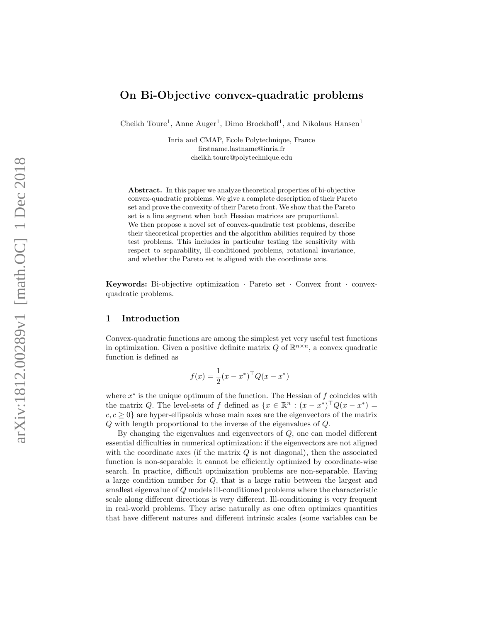# On Bi-Objective convex-quadratic problems

Cheikh Toure<sup>1</sup>, Anne Auger<sup>1</sup>, Dimo Brockhoff<sup>1</sup>, and Nikolaus Hansen<sup>1</sup>

Inria and CMAP, Ecole Polytechnique, France firstname.lastname@inria.fr cheikh.toure@polytechnique.edu

Abstract. In this paper we analyze theoretical properties of bi-objective convex-quadratic problems. We give a complete description of their Pareto set and prove the convexity of their Pareto front. We show that the Pareto set is a line segment when both Hessian matrices are proportional. We then propose a novel set of convex-quadratic test problems, describe their theoretical properties and the algorithm abilities required by those test problems. This includes in particular testing the sensitivity with respect to separability, ill-conditioned problems, rotational invariance, and whether the Pareto set is aligned with the coordinate axis.

Keywords: Bi-objective optimization · Pareto set · Convex front · convexquadratic problems.

## 1 Introduction

Convex-quadratic functions are among the simplest yet very useful test functions in optimization. Given a positive definite matrix Q of  $\mathbb{R}^{n \times n}$ , a convex quadratic function is defined as

$$
f(x) = \frac{1}{2}(x - x^*)^{\top} Q(x - x^*)
$$

where  $x^*$  is the unique optimum of the function. The Hessian of  $f$  coincides with the matrix Q. The level-sets of f defined as  $\{x \in \mathbb{R}^n : (x - x^*)^\top Q (x - x^*) =$  $c, c \geq 0$  are hyper-ellipsoids whose main axes are the eigenvectors of the matrix Q with length proportional to the inverse of the eigenvalues of Q .

By changing the eigenvalues and eigenvectors of Q, one can model different essential difficulties in numerical optimization: if the eigenvectors are not aligned with the coordinate axes (if the matrix  $Q$  is not diagonal), then the associated function is non-separable: it cannot be efficiently optimized by coordinate-wise search. In practice, difficult optimization problems are non-separable. Having a large condition number for Q, that is a large ratio between the largest and smallest eigenvalue of Q models ill-conditioned problems where the characteristic scale along different directions is very different. Ill-conditioning is very frequent in real-world problems. They arise naturally as one often optimizes quantities that have different natures and different intrinsic scales (some variables can be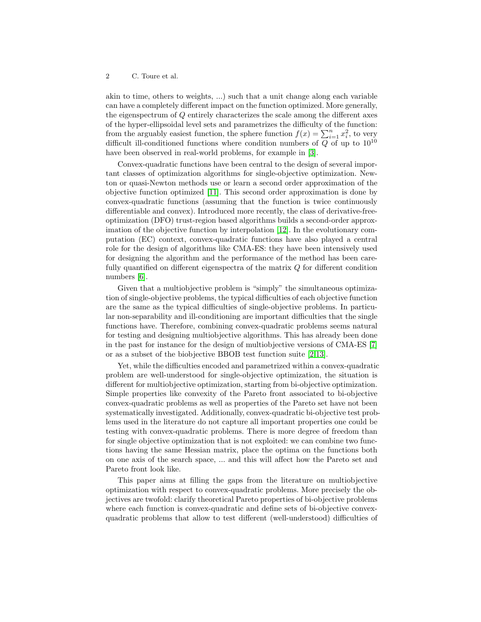### 2 C. Toure et al.

akin to time, others to weights, ...) such that a unit change along each variable can have a completely different impact on the function optimized. More generally, the eigenspectrum of Q entirely characterizes the scale among the different axes of the hyper-ellipsoidal level sets and parametrizes the difficulty of the function: from the arguably easiest function, the sphere function  $f(x) = \sum_{i=1}^{n} x_i^2$ , to very difficult ill-conditioned functions where condition numbers of  $Q$  of up to  $10^{10}$ have been observed in real-world problems, for example in [\[3\]](#page-11-0).

Convex-quadratic functions have been central to the design of several important classes of optimization algorithms for single-objective optimization. Newton or quasi-Newton methods use or learn a second order approximation of the objective function optimized [\[11\]](#page-11-1). This second order approximation is done by convex-quadratic functions (assuming that the function is twice continuously differentiable and convex). Introduced more recently, the class of derivative-freeoptimization (DFO) trust-region based algorithms builds a second-order approximation of the objective function by interpolation [\[12\]](#page-11-2). In the evolutionary computation (EC) context, convex-quadratic functions have also played a central role for the design of algorithms like CMA-ES: they have been intensively used for designing the algorithm and the performance of the method has been carefully quantified on different eigenspectra of the matrix Q for different condition numbers [\[6\]](#page-11-3).

Given that a multiobjective problem is "simply" the simultaneous optimization of single-objective problems, the typical difficulties of each objective function are the same as the typical difficulties of single-objective problems. In particular non-separability and ill-conditioning are important difficulties that the single functions have. Therefore, combining convex-quadratic problems seems natural for testing and designing multiobjective algorithms. This has already been done in the past for instance for the design of multiobjective versions of CMA-ES [\[7\]](#page-11-4) or as a subset of the biobjective BBOB test function suite [\[2](#page-11-5)[,13\]](#page-11-6).

Yet, while the difficulties encoded and parametrized within a convex-quadratic problem are well-understood for single-objective optimization, the situation is different for multiobjective optimization, starting from bi-objective optimization. Simple properties like convexity of the Pareto front associated to bi-objective convex-quadratic problems as well as properties of the Pareto set have not been systematically investigated. Additionally, convex-quadratic bi-objective test problems used in the literature do not capture all important properties one could be testing with convex-quadratic problems. There is more degree of freedom than for single objective optimization that is not exploited: we can combine two functions having the same Hessian matrix, place the optima on the functions both on one axis of the search space, ... and this will affect how the Pareto set and Pareto front look like.

This paper aims at filling the gaps from the literature on multiobjective optimization with respect to convex-quadratic problems. More precisely the objectives are twofold: clarify theoretical Pareto properties of bi-objective problems where each function is convex-quadratic and define sets of bi-objective convexquadratic problems that allow to test different (well-understood) difficulties of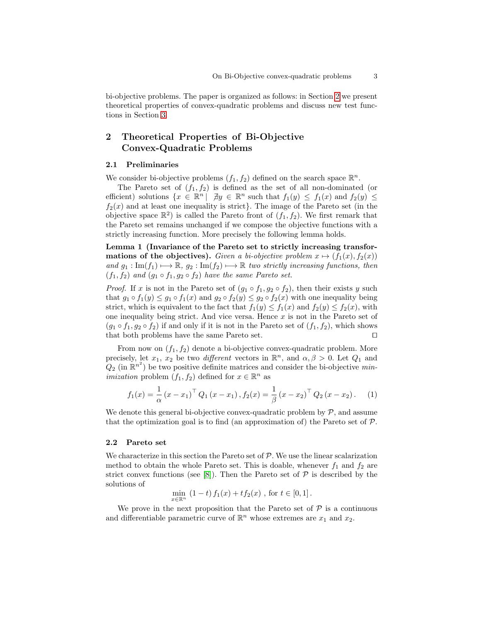bi-objective problems. The paper is organized as follows: in Section [2](#page-2-0) we present theoretical properties of convex-quadratic problems and discuss new test functions in Section [3.](#page-8-0)

# <span id="page-2-0"></span>2 Theoretical Properties of Bi-Objective Convex-Quadratic Problems

### 2.1 Preliminaries

We consider bi-objective problems  $(f_1, f_2)$  defined on the search space  $\mathbb{R}^n$ .

The Pareto set of  $(f_1, f_2)$  is defined as the set of all non-dominated (or efficient) solutions  $\{x \in \mathbb{R}^n \mid \exists y \in \mathbb{R}^n \text{ such that } f_1(y) \leq f_1(x) \text{ and } f_2(y) \leq \emptyset\}$  $f_2(x)$  and at least one inequality is strict}. The image of the Pareto set (in the objective space  $\mathbb{R}^2$ ) is called the Pareto front of  $(f_1, f_2)$ . We first remark that the Pareto set remains unchanged if we compose the objective functions with a strictly increasing function. More precisely the following lemma holds.

<span id="page-2-1"></span>Lemma 1 (Invariance of the Pareto set to strictly increasing transfor**mations of the objectives).** Given a bi-objective problem  $x \mapsto (f_1(x), f_2(x))$ and  $g_1 : \text{Im}(f_1) \longrightarrow \mathbb{R}, g_2 : \text{Im}(f_2) \longrightarrow \mathbb{R}$  two strictly increasing functions, then  $(f_1, f_2)$  and  $(g_1 \circ f_1, g_2 \circ f_2)$  have the same Pareto set.

*Proof.* If x is not in the Pareto set of  $(g_1 \circ f_1, g_2 \circ f_2)$ , then their exists y such that  $g_1 \circ f_1(y) \leq g_1 \circ f_1(x)$  and  $g_2 \circ f_2(y) \leq g_2 \circ f_2(x)$  with one inequality being strict, which is equivalent to the fact that  $f_1(y) \le f_1(x)$  and  $f_2(y) \le f_2(x)$ , with one inequality being strict. And vice versa. Hence  $x$  is not in the Pareto set of  $(g_1 \circ f_1, g_2 \circ f_2)$  if and only if it is not in the Pareto set of  $(f_1, f_2)$ , which shows that both problems have the same Pareto set.  $\Box$ 

From now on  $(f_1, f_2)$  denote a bi-objective convex-quadratic problem. More precisely, let  $x_1, x_2$  be two *different* vectors in  $\mathbb{R}^n$ , and  $\alpha, \beta > 0$ . Let  $Q_1$  and  $Q_2$  (in  $\mathbb{R}^{n^2}$ ) be two positive definite matrices and consider the bi-objective min*imization* problem  $(f_1, f_2)$  defined for  $x \in \mathbb{R}^n$  as

$$
f_1(x) = \frac{1}{\alpha} (x - x_1)^{\top} Q_1 (x - x_1), f_2(x) = \frac{1}{\beta} (x - x_2)^{\top} Q_2 (x - x_2).
$$
 (1)

We denote this general bi-objective convex-quadratic problem by  $P$ , and assume that the optimization goal is to find (an approximation of) the Pareto set of  $P$ .

#### 2.2 Pareto set

We characterize in this section the Pareto set of  $P$ . We use the linear scalarization method to obtain the whole Pareto set. This is doable, whenever  $f_1$  and  $f_2$  are strict convex functions (see [\[8\]](#page-11-7)). Then the Pareto set of  $P$  is described by the solutions of

$$
\min_{x \in \mathbb{R}^n} (1-t) f_1(x) + t f_2(x) , \text{ for } t \in [0,1].
$$

We prove in the next proposition that the Pareto set of  $P$  is a continuous and differentiable parametric curve of  $\mathbb{R}^n$  whose extremes are  $x_1$  and  $x_2$ .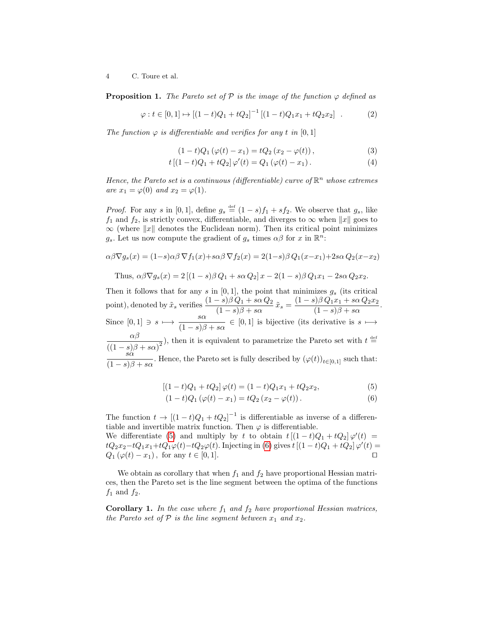4 C. Toure et al.

**Proposition 1.** The Pareto set of  $\mathcal{P}$  is the image of the function  $\varphi$  defined as

$$
\varphi : t \in [0, 1] \mapsto [(1 - t)Q_1 + tQ_2]^{-1} [(1 - t)Q_1 x_1 + tQ_2 x_2] . \tag{2}
$$

The function  $\varphi$  is differentiable and verifies for any t in [0, 1]

<span id="page-3-2"></span><span id="page-3-1"></span>
$$
(1-t)Q_1(\varphi(t) - x_1) = tQ_2(x_2 - \varphi(t)),
$$
\n(3)

$$
t [(1-t)Q_1 + tQ_2] \varphi'(t) = Q_1 (\varphi(t) - x_1).
$$
 (4)

Hence, the Pareto set is a continuous (differentiable) curve of  $\mathbb{R}^n$  whose extremes are  $x_1 = \varphi(0)$  and  $x_2 = \varphi(1)$ .

*Proof.* For any s in [0, 1], define  $g_s \stackrel{\text{def}}{=} (1-s)f_1 + sf_2$ . We observe that  $g_s$ , like  $f_1$  and  $f_2$ , is strictly convex, differentiable, and diverges to  $\infty$  when  $||x||$  goes to  $\infty$  (where  $||x||$  denotes the Euclidean norm). Then its critical point minimizes  $g_s$ . Let us now compute the gradient of  $g_s$  times  $\alpha\beta$  for x in  $\mathbb{R}^n$ .

$$
\alpha\beta\nabla g_s(x) = (1-s)\alpha\beta\nabla f_1(x) + s\alpha\beta\nabla f_2(x) = 2(1-s)\beta Q_1(x-x_1) + 2s\alpha Q_2(x-x_2)
$$

Thus,  $\alpha\beta\nabla q_s(x) = 2\left[ (1-s)\beta Q_1 + s\alpha Q_2 \right] x - 2(1-s)\beta Q_1x_1 - 2s\alpha Q_2x_2$ .

Then it follows that for any s in  $[0, 1]$ , the point that minimizes  $g_s$  (its critical point), denoted by  $\tilde{x}_s$  verifies  $\frac{(1-s)\beta Q_1 + s\alpha Q_2}{(1-s)\beta + s\alpha} \tilde{x}_s = \frac{(1-s)\beta Q_1 x_1 + s\alpha Q_2 x_2}{(1-s)\beta + s\alpha}$ (1 − s)β + sα . Since  $[0,1] \ni s \mapsto \frac{s\alpha}{(1-\alpha)s}$  $\frac{\partial a}{(1-s)\beta + s\alpha} \in [0,1]$  is bijective (its derivative is  $s \mapsto$ αβ  $\frac{\alpha \beta}{((1-s)\beta + s\alpha)^2}$ , then it is equivalent to parametrize the Pareto set with  $t \stackrel{\text{def}}{=}$  $\bar{s}\alpha$  $\frac{\partial a}{(1-s)\beta + s\alpha}$ . Hence, the Pareto set is fully described by  $(\varphi(t))_{t\in[0,1]}$  such that:

<span id="page-3-0"></span>
$$
[(1-t)Q_1 + tQ_2] \varphi(t) = (1-t)Q_1x_1 + tQ_2x_2, \tag{5}
$$

$$
(1-t)Q_1(\varphi(t) - x_1) = tQ_2(x_2 - \varphi(t)).
$$
\n(6)

The function  $t \to [(1-t)Q_1+tQ_2]^{-1}$  is differentiable as inverse of a differentiable and invertible matrix function. Then  $\varphi$  is differentiable. We differentiate [\(5\)](#page-3-0) and multiply by t to obtain  $t[(1-t)Q_1+tQ_2]\varphi'(t) =$  $tQ_2x_2-tQ_1x_1+tQ_1\varphi(t)-tQ_2\varphi(t)$ . Injecting in [\(6\)](#page-3-0) gives  $t[(1-t)Q_1+tQ_2]\varphi'(t)=$  $Q_1(\varphi(t) - x_1)$ , for any  $t \in [0, 1]$ .

<span id="page-3-3"></span>We obtain as corollary that when  $f_1$  and  $f_2$  have proportional Hessian matrices, then the Pareto set is the line segment between the optima of the functions  $f_1$  and  $f_2$ .

**Corollary 1.** In the case where  $f_1$  and  $f_2$  have proportional Hessian matrices, the Pareto set of  $P$  is the line segment between  $x_1$  and  $x_2$ .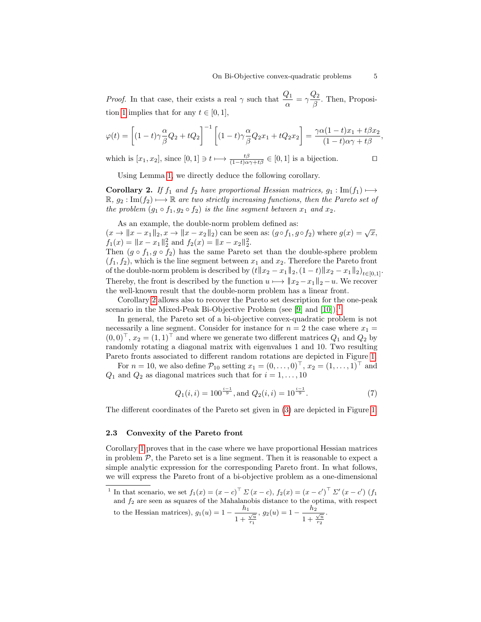*Proof.* In that case, their exists a real  $\gamma$  such that  $\frac{Q_1}{\alpha} = \gamma \frac{Q_2}{\beta}$  $rac{\varepsilon_2}{\beta}$ . Then, Proposi-tion [1](#page-3-1) implies that for any  $t \in [0, 1]$ ,

$$
\varphi(t) = \left[ (1-t)\gamma \frac{\alpha}{\beta} Q_2 + tQ_2 \right]^{-1} \left[ (1-t)\gamma \frac{\alpha}{\beta} Q_2 x_1 + tQ_2 x_2 \right] = \frac{\gamma \alpha (1-t)x_1 + t\beta x_2}{(1-t)\alpha \gamma + t\beta},
$$

which is  $[x_1, x_2]$ , since  $[0, 1] \ni t \mapsto \frac{t\beta}{(1-t)\alpha\gamma+t\beta} \in [0, 1]$  is a bijection.

<span id="page-4-0"></span>Using Lemma [1,](#page-2-1) we directly deduce the following corollary.

Corollary 2. If  $f_1$  and  $f_2$  have proportional Hessian matrices,  $g_1 : \text{Im}(f_1) \longmapsto$  $\mathbb{R}, g_2 : \text{Im}(f_2) \longrightarrow \mathbb{R}$  are two strictly increasing functions, then the Pareto set of the problem  $(g_1 \circ f_1, g_2 \circ f_2)$  is the line segment between  $x_1$  and  $x_2$ .

As an example, the double-norm problem defined as:

As an example, the double-horm problem defined as:<br>  $(x \to ||x - x_1||_2, x \to ||x - x_2||_2)$  can be seen as:  $(g \circ f_1, g \circ f_2)$  where  $g(x) = \sqrt{x}$ ,  $f_1(x) = \|x - x_1\|_2^2$  and  $f_2(x) = \|x - x_2\|_2^2$ .

Then  $(g \circ f_1, g \circ f_2)$  has the same Pareto set than the double-sphere problem  $(f_1, f_2)$ , which is the line segment between  $x_1$  and  $x_2$ . Therefore the Pareto front of the double-norm problem is described by  $(t||x_2 - x_1||_2, (1-t)||x_2 - x_1||_2)_{t \in [0,1]}$ . Thereby, the front is described by the function  $u \mapsto ||x_2 - x_1||_2 - u$ . We recover the well-known result that the double-norm problem has a linear front.

Corollary [2](#page-4-0) allows also to recover the Pareto set description for the one-peak scenario in the Mixed-Peak Bi-Objective Problem (see [\[9\]](#page-11-8) and  $[10]$ ).<sup>[1](#page-4-1)</sup>

In general, the Pareto set of a bi-objective convex-quadratic problem is not necessarily a line segment. Consider for instance for  $n = 2$  the case where  $x_1 =$  $(0,0)^\top$ ,  $x_2 = (1,1)^\top$  and where we generate two different matrices  $Q_1$  and  $Q_2$  by randomly rotating a diagonal matrix with eigenvalues 1 and 10. Two resulting Pareto fronts associated to different random rotations are depicted in Figure [1.](#page-5-0)

For  $n = 10$ , we also define  $\mathcal{P}_{10}$  setting  $x_1 = (0, \ldots, 0)^\top$ ,  $x_2 = (1, \ldots, 1)^\top$  and  $Q_1$  and  $Q_2$  as diagonal matrices such that for  $i = 1, \ldots, 10$ 

<span id="page-4-2"></span>
$$
Q_1(i,i) = 100^{\frac{i-1}{9}}, \text{and } Q_2(i,i) = 10^{\frac{i-1}{9}}.
$$
 (7)

The different coordinates of the Pareto set given in [\(3\)](#page-3-2) are depicted in Figure [1.](#page-5-0)

### 2.3 Convexity of the Pareto front

Corollary [1](#page-3-3) proves that in the case where we have proportional Hessian matrices in problem  $P$ , the Pareto set is a line segment. Then it is reasonable to expect a simple analytic expression for the corresponding Pareto front. In what follows, we will express the Pareto front of a bi-objective problem as a one-dimensional

<span id="page-4-1"></span><sup>1</sup> In that scenario, we set  $f_1(x) = (x - c)^{\top} \Sigma (x - c)$ ,  $f_2(x) = (x - c)^{\top} \Sigma' (x - c')$  (f<sub>1</sub> and  $f_2$  are seen as squares of the Mahalanobis distance to the optima, with respect to the Hessian matrices),  $g_1(u) = 1 - \frac{h_1}{h_1}$  $\frac{1}{1+\frac{\sqrt{u}}{x}}$  $, g_2(u) = 1 - \frac{h_2}{h_1}$  $\frac{1}{1+\frac{\sqrt{u}}{x_0}}$ .

 $r_1$ 

 $r_2$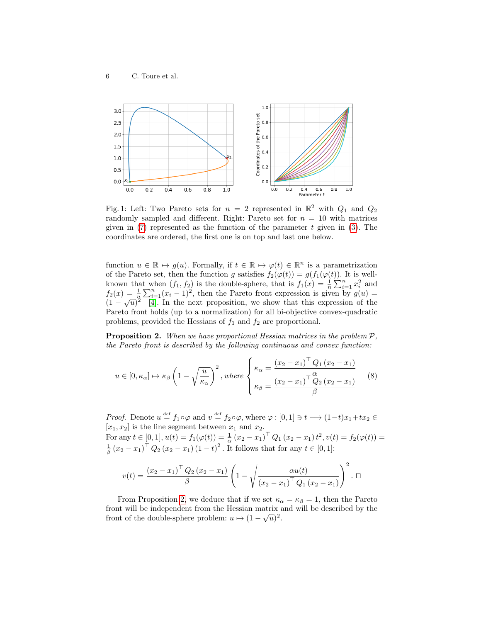<span id="page-5-0"></span>

Fig. 1: Left: Two Pareto sets for  $n = 2$  represented in  $\mathbb{R}^2$  with  $Q_1$  and  $Q_2$ randomly sampled and different. Right: Pareto set for  $n = 10$  with matrices given in  $(7)$  represented as the function of the parameter t given in  $(3)$ . The coordinates are ordered, the first one is on top and last one below.

function  $u \in \mathbb{R} \mapsto g(u)$ . Formally, if  $t \in \mathbb{R} \mapsto \varphi(t) \in \mathbb{R}^n$  is a parametrization of the Pareto set, then the function g satisfies  $f_2(\varphi(t)) = g(f_1(\varphi(t))$ . It is wellknown that when  $(f_1, f_2)$  is the double-sphere, that is  $f_1(x) = \frac{1}{n} \sum_{i=1}^n x_i^2$  and  $f_2(x) = \frac{1}{n} \sum_{i=1}^n (x_i - 1)^2$ , then the Pareto front expression is given by  $g(u)$  $f_1(x) = \frac{1}{n} \sum_{i=1}^{n} (x_i - 1)$ , then the rate of nont expression is given by  $g(u) = (1 - \sqrt{u})^2$  [\[4\]](#page-11-10). In the next proposition, we show that this expression of the Pareto front holds (up to a normalization) for all bi-objective convex-quadratic problems, provided the Hessians of  $f_1$  and  $f_2$  are proportional.

**Proposition 2.** When we have proportional Hessian matrices in the problem  $P$ , the Pareto front is described by the following continuous and convex function:

<span id="page-5-1"></span>
$$
u \in [0, \kappa_{\alpha}] \mapsto \kappa_{\beta} \left(1 - \sqrt{\frac{u}{\kappa_{\alpha}}}\right)^2, \text{ where } \begin{cases} \kappa_{\alpha} = \frac{(x_2 - x_1)^{\top} Q_1 (x_2 - x_1)}{Q_2 (x_2 - x_1)} \\ \kappa_{\beta} = \frac{(x_2 - x_1)^{\top} Q_2 (x_2 - x_1)}{\beta} \end{cases}
$$
(8)

*Proof.* Denote  $u \stackrel{\text{def}}{=} f_1 \circ \varphi$  and  $v \stackrel{\text{def}}{=} f_2 \circ \varphi$ , where  $\varphi : [0,1] \ni t \longmapsto (1-t)x_1+tx_2 \in$  $[x_1, x_2]$  is the line segment between  $x_1$  and  $x_2$ . For any  $t \in [0,1], u(t) = f_1(\varphi(t)) = \frac{1}{\alpha} (x_2 - x_1)^{\top} Q_1 (x_2 - x_1) t^2, v(t) = f_2(\varphi(t)) =$  $\frac{1}{\beta} (x_2 - x_1)^{\top} Q_2 (x_2 - x_1) (1 - t)^2$ . It follows that for any  $t \in [0, 1]$ :

$$
v(t) = \frac{(x_2 - x_1)^{\top} Q_2 (x_2 - x_1)}{\beta} \left( 1 - \sqrt{\frac{\alpha u(t)}{(x_2 - x_1)^{\top} Q_1 (x_2 - x_1)}} \right)^2.
$$

From Proposition [2,](#page-5-1) we deduce that if we set  $\kappa_{\alpha} = \kappa_{\beta} = 1$ , then the Pareto front will be independent from the Hessian matrix and will be described by the front of the double-sphere problem:  $u \mapsto (1 - \sqrt{u})^2$ .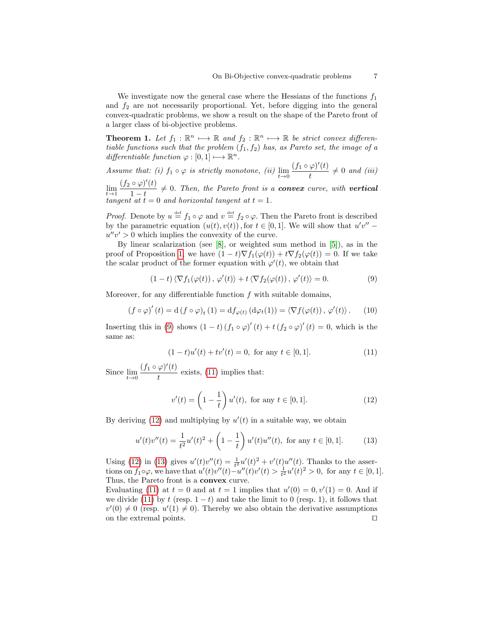We investigate now the general case where the Hessians of the functions  $f_1$ and  $f_2$  are not necessarily proportional. Yet, before digging into the general convex-quadratic problems, we show a result on the shape of the Pareto front of a larger class of bi-objective problems.

<span id="page-6-4"></span>**Theorem 1.** Let  $f_1 : \mathbb{R}^n \longrightarrow \mathbb{R}$  and  $f_2 : \mathbb{R}^n \longrightarrow \mathbb{R}$  be strict convex differentiable functions such that the problem  $(f_1, f_2)$  has, as Pareto set, the image of a differentiable function  $\varphi : [0,1] \longmapsto \mathbb{R}^n$ .

Assume that: (i)  $f_1 \circ \varphi$  is strictly monotone, (ii)  $\lim_{t\to 0} \frac{(f_1 \circ \varphi)'(t)}{t}$  $\frac{\varphi f(\theta)}{t} \neq 0$  and (iii)  $\lim_{t\to 1}\frac{(f_2\circ\varphi)'(t)}{1-t}$  $\frac{\partial^2 \varphi}{\partial t^2}$  = 0. Then, the Pareto front is a **convex** curve, with **vertical** tangent at  $t = 0$  and horizontal tangent at  $t = 1$ .

*Proof.* Denote by  $u \stackrel{\text{def}}{=} f_1 \circ \varphi$  and  $v \stackrel{\text{def}}{=} f_2 \circ \varphi$ . Then the Pareto front is described by the parametric equation  $(u(t), v(t))$ , for  $t \in [0, 1]$ . We will show that  $u'v''$  $u''v' > 0$  which implies the convexity of the curve.

By linear scalarization (see [\[8\]](#page-11-7), or weighted sum method in [\[5\]](#page-11-11)), as in the proof of Proposition [1,](#page-3-1) we have  $(1-t)\nabla f_1(\varphi(t)) + t\nabla f_2(\varphi(t)) = 0$ . If we take the scalar product of the former equation with  $\varphi'(t)$ , we obtain that

<span id="page-6-0"></span>
$$
(1-t)\langle \nabla f_1(\varphi(t)), \varphi'(t)\rangle + t\langle \nabla f_2(\varphi(t)), \varphi'(t)\rangle = 0.
$$
 (9)

Moreover, for any differentiable function  $f$  with suitable domains,

<span id="page-6-5"></span>
$$
(f \circ \varphi)'(t) = d(f \circ \varphi)_t(1) = df_{\varphi(t)}(d\varphi_t(1)) = \langle \nabla f(\varphi(t)), \varphi'(t) \rangle.
$$
 (10)

Inserting this in [\(9\)](#page-6-0) shows  $(1-t)(f_1 \circ \varphi)'(t) + t(f_2 \circ \varphi)'(t) = 0$ , which is the same as:

<span id="page-6-1"></span>
$$
(1-t)u'(t) + tv'(t) = 0, \text{ for any } t \in [0,1].
$$
 (11)

Since  $\lim_{t\to 0} \frac{(f_1 \circ \varphi)'(t)}{t}$  $\frac{\varphi}{t}$  exists, [\(11\)](#page-6-1) implies that:

<span id="page-6-2"></span>
$$
v'(t) = \left(1 - \frac{1}{t}\right)u'(t), \text{ for any } t \in [0, 1].
$$
 (12)

By deriving  $(12)$  and multiplying by  $u'(t)$  in a suitable way, we obtain

<span id="page-6-3"></span>
$$
u'(t)v''(t) = \frac{1}{t^2}u'(t)^2 + \left(1 - \frac{1}{t}\right)u'(t)u''(t), \text{ for any } t \in [0, 1].
$$
 (13)

Using [\(12\)](#page-6-2) in [\(13\)](#page-6-3) gives  $u'(t)v''(t) = \frac{1}{t^2}u'(t)^2 + v'(t)u''(t)$ . Thanks to the asser-Come (t) in (t) gives  $u(t) = t^2 u(t) + v(t)u'(t)$ . Thanks to the asset-<br>tions on  $f_1 ∘ φ$ , we have that  $u'(t)v''(t) - u''(t)v'(t) > \frac{1}{t^2}u'(t)^2 > 0$ , for any  $t \in [0, 1]$ . Thus, the Pareto front is a convex curve.

Evaluating [\(11\)](#page-6-1) at  $t = 0$  and at  $t = 1$  implies that  $u'(0) = 0, v'(1) = 0$ . And if we divide [\(11\)](#page-6-1) by t (resp.  $1-t$ ) and take the limit to 0 (resp. 1), it follows that  $v'(0) \neq 0$  (resp.  $u'(1) \neq 0$ ). Thereby we also obtain the derivative assumptions on the extremal points.  $\Box$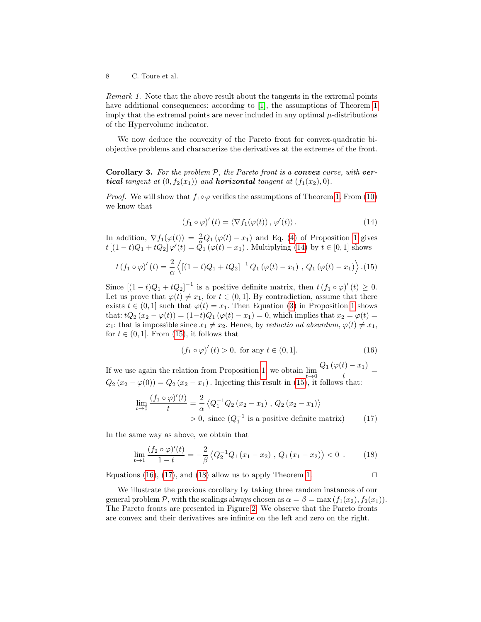8 C. Toure et al.

Remark 1. Note that the above result about the tangents in the extremal points have additional consequences: according to [\[1\]](#page-11-12), the assumptions of Theorem [1](#page-6-4) imply that the extremal points are never included in any optimal  $\mu$ -distributions of the Hypervolume indicator.

We now deduce the convexity of the Pareto front for convex-quadratic biobjective problems and characterize the derivatives at the extremes of the front.

**Corollary 3.** For the problem  $P$ , the Pareto front is a **convex** curve, with **vertical** tangent at  $(0, f_2(x_1))$  and **horizontal** tangent at  $(f_1(x_2), 0)$ .

*Proof.* We will show that  $f_1 \circ \varphi$  verifies the assumptions of Theorem [1.](#page-6-4) From [\(10\)](#page-6-5) we know that

<span id="page-7-0"></span>
$$
(f_1 \circ \varphi)'(t) = \langle \nabla f_1(\varphi(t)), \varphi'(t) \rangle.
$$
 (14)

In addition,  $\nabla f_1(\varphi(t)) = \frac{2}{\alpha} Q_1(\varphi(t) - x_1)$  and Eq. [\(4\)](#page-3-1) of Proposition [1](#page-3-1) gives  $t [(1-t)Q_1 + tQ_2] \, \varphi'(t) = \tilde{Q}_1 (\varphi(t) - x_1)$ . Multiplying [\(14\)](#page-7-0) by  $t \in [0,1]$  shows

<span id="page-7-1"></span>
$$
t(f_1 \circ \varphi)'(t) = \frac{2}{\alpha} \left\langle \left[ (1-t)Q_1 + tQ_2 \right]^{-1} Q_1 \left( \varphi(t) - x_1 \right) , Q_1 \left( \varphi(t) - x_1 \right) \right\rangle . (15)
$$

Since  $[(1-t)Q_1+tQ_2]^{-1}$  is a positive definite matrix, then  $t(f_1 \circ \varphi)'(t) \geq 0$ . Let us prove that  $\varphi(t) \neq x_1$ , for  $t \in (0, 1]$ . By contradiction, assume that there exists  $t \in (0,1]$  such that  $\varphi(t) = x_1$ . Then Equation [\(3\)](#page-3-2) in Proposition [1](#page-3-1) shows that:  $tQ_2 (x_2 - \varphi(t)) = (1-t)Q_1 (\varphi(t) - x_1) = 0$ , which implies that  $x_2 = \varphi(t) =$ x<sub>1</sub>: that is impossible since  $x_1 \neq x_2$ . Hence, by reductio ad absurdum,  $\varphi(t) \neq x_1$ , for  $t \in (0, 1]$ . From [\(15\)](#page-7-1), it follows that

<span id="page-7-2"></span>
$$
(f_1 \circ \varphi)'(t) > 0
$$
, for any  $t \in (0, 1]$ . (16)

If we use again the relation from Proposition [1,](#page-3-1) we obtain  $\lim_{t\to 0} \frac{Q_1(\varphi(t)-x_1)}{t}$  $\frac{t}{t}$  =  $Q_2(x_2 - \varphi(0)) = Q_2(x_2 - x_1)$ . Injecting this result in [\(15\)](#page-7-1), it follows that:

<span id="page-7-3"></span>
$$
\lim_{t \to 0} \frac{(f_1 \circ \varphi)'(t)}{t} = \frac{2}{\alpha} \left\langle Q_1^{-1} Q_2 \left( x_2 - x_1 \right), Q_2 \left( x_2 - x_1 \right) \right\rangle
$$
  
> 0, since  $(Q_1^{-1}$  is a positive definite matrix) (17)

In the same way as above, we obtain that

<span id="page-7-4"></span>
$$
\lim_{t \to 1} \frac{(f_2 \circ \varphi)'(t)}{1 - t} = -\frac{2}{\beta} \left\langle Q_2^{-1} Q_1 \left( x_1 - x_2 \right), \, Q_1 \left( x_1 - x_2 \right) \right\rangle < 0 \, . \tag{18}
$$

Equations [\(16\)](#page-7-2), [\(17\)](#page-7-3), and [\(18\)](#page-7-4) allow us to apply Theorem [1.](#page-6-4)  $\Box$ 

We illustrate the previous corollary by taking three random instances of our general problem P, with the scalings always chosen as  $\alpha = \beta = \max(f_1(x_2), f_2(x_1)).$ The Pareto fronts are presented in Figure [2.](#page-8-1) We observe that the Pareto fronts are convex and their derivatives are infinite on the left and zero on the right.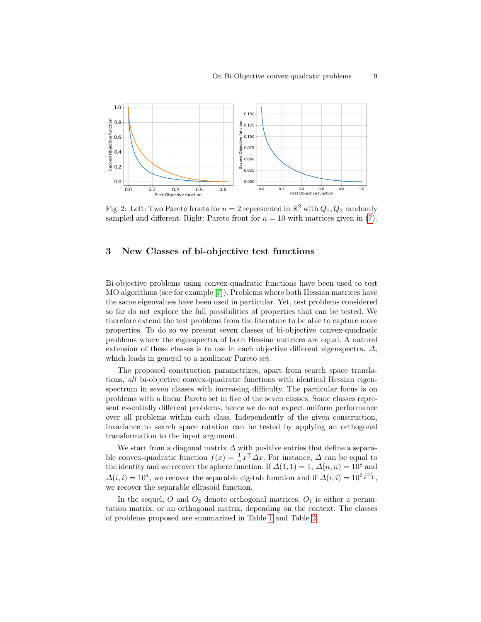<span id="page-8-1"></span>

Fig. 2: Left: Two Pareto fronts for  $n = 2$  represented in  $\mathbb{R}^2$  with  $Q_1, Q_2$  randomly sampled and different. Right: Pareto front for  $n = 10$  with matrices given in [\(7\)](#page-4-2).

## <span id="page-8-0"></span>3 New Classes of bi-objective test functions

Bi-objective problems using convex-quadratic functions have been used to test MO algorithms (see for example [\[7\]](#page-11-4)). Problems where both Hessian matrices have the same eigenvalues have been used in particular. Yet, test problems considered so far do not explore the full possibilities of properties that can be tested. We therefore extend the test problems from the literature to be able to capture more properties. To do so we present seven classes of bi-objective convex-quadratic problems where the eigenspectra of both Hessian matrices are equal. A natural extension of these classes is to use in each objective different eigenspectra,  $\Delta$ , which leads in general to a nonlinear Pareto set.

The proposed construction parametrizes, apart from search space translations, all bi-objective convex-quadratic functions with identical Hessian eigenspectrum in seven classes with increasing difficulty. The particular focus is on problems with a linear Pareto set in five of the seven classes. Some classes represent essentially different problems, hence we do not expect uniform performance over all problems within each class. Independently of the given construction, invariance to search space rotation can be tested by applying an orthogonal transformation to the input argument.

We start from a diagonal matrix  $\Delta$  with positive entries that define a separable convex-quadratic function  $f(x) = \frac{1}{\alpha} x^{\top} \Delta x$ . For instance,  $\Delta$  can be equal to the identity and we recover the sphere function. If  $\Delta(1,1) = 1$ ,  $\Delta(n,n) = 10^8$  and  $\Delta(i,i) = 10^4$ , we recover the separable cig-tab function and if  $\Delta(i,i) = 10^{6} \frac{i-1}{n-1}$ , we recover the separable ellipsoid function.

In the sequel, O and  $O_2$  denote orthogonal matrices.  $O_1$  is either a permutation matrix, or an orthogonal matrix, depending on the context. The classes of problems proposed are summarized in Table [1](#page-10-0) and Table [2.](#page-10-1)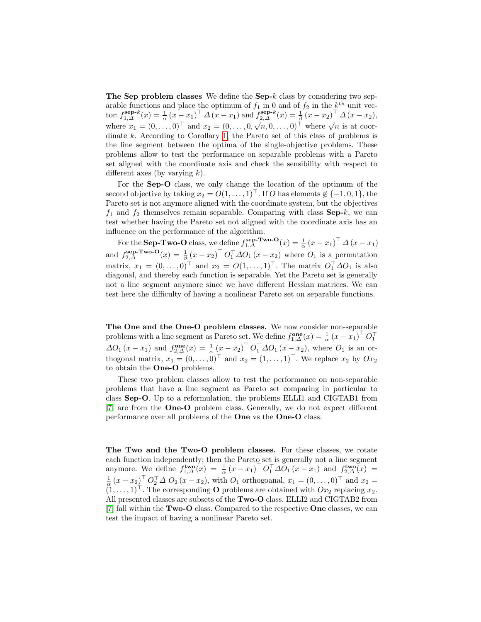The Sep problem classes We define the Sep- $k$  class by considering two separable functions and place the optimum of  $f_1$  in 0 and of  $f_2$  in the  $k<sup>th</sup>$  unit vector:  $f_{1,\Delta}^{\text{sep-}k}(x) = \frac{1}{\alpha} (x - x_1)^{\top} \Delta (x - x_1)$  and  $f_{2,\Delta}^{\text{sep-}k}(x) = \frac{1}{\beta} (x - x_2)^{\top} \Delta (x - x_2)$ , where  $x_1 = (0, \ldots, 0)^\top$  and  $x_2 = (0, \ldots, 0, \sqrt{n}, 0, \ldots, 0)^\top$  where  $\sqrt{n}$  is at coordinate k. According to Corollary [1,](#page-3-3) the Pareto set of this class of problems is the line segment between the optima of the single-objective problems. These problems allow to test the performance on separable problems with a Pareto set aligned with the coordinate axis and check the sensibility with respect to different axes (by varying  $k$ ).

For the Sep-O class, we only change the location of the optimum of the second objective by taking  $x_2 = O(1, \ldots, 1)^\top$ . If O has elements  $\notin \{-1, 0, 1\}$ , the Pareto set is not anymore aligned with the coordinate system, but the objectives  $f_1$  and  $f_2$  themselves remain separable. Comparing with class Sep-k, we can test whether having the Pareto set not aligned with the coordinate axis has an influence on the performance of the algorithm.

For the **Sep-Two-O** class, we define  $f_{1,\Delta}^{\text{sep-Two-O}}(x) = \frac{1}{\alpha} (x - x_1)^{\top} \Delta (x - x_1)$ α and  $f_{2,\Delta}^{\text{sep-Two-O}}(x) = \frac{1}{\beta} (x - x_2)^{\top} O_1^{\top} \Delta O_1 (x - x_2)$  where  $O_1$  is a permutation matrix,  $x_1 = (0, \ldots, 0)^\top$  and  $x_2 = O(1, \ldots, 1)^\top$ . The matrix  $O_1^\top \Delta O_1$  is also diagonal, and thereby each function is separable. Yet the Pareto set is generally not a line segment anymore since we have different Hessian matrices. We can test here the difficulty of having a nonlinear Pareto set on separable functions.

The One and the One-O problem classes. We now consider non-separable problems with a line segment as Pareto set. We define  $f_{1,\Delta}^{\text{one}}(x) = \frac{1}{\alpha} (x - x_1)^{\top} O_1^{\top}$  $\Delta O_1(x - x_1)$  and  $f_{2,\Delta}^{\text{one}}(x) = \frac{1}{\alpha} (x - x_2)^{\top} O_1^{\top} \Delta O_1(x - x_2)$ , where  $O_1$  is an orthogonal matrix,  $x_1 = (0, \ldots, 0)^\top$  and  $x_2 = (1, \ldots, 1)^\top$ . We replace  $x_2$  by  $Ox_2$ to obtain the One-O problems.

These two problem classes allow to test the performance on non-separable problems that have a line segment as Pareto set comparing in particular to class Sep-O. Up to a reformulation, the problems ELLI1 and CIGTAB1 from [\[7\]](#page-11-4) are from the One-O problem class. Generally, we do not expect different performance over all problems of the One vs the One-O class.

The Two and the Two-O problem classes. For these classes, we rotate each function independently; then the Pareto set is generally not a line segment anymore. We define  $f_{1,\Delta}^{\mathbf{two}}(x) = \frac{1}{\alpha} (x - x_1)^{\top} O_1^{\top} \Delta O_1 (x - x_1)$  and  $f_{2,\Delta}^{\mathbf{two}}(x) =$  $\frac{1}{\alpha}(x-x_2)^{\top} O_2^{\top} \Delta O_2(x-x_2)$ , with  $O_1$  orthogoanal,  $x_1 = (0, \ldots, 0)^{\top}$  and  $x_2 =$  $(1, \ldots, 1)^\top$ . The corresponding **O** problems are obtained with  $Ox_2$  replacing  $x_2$ . All presented classes are subsets of the Two-O class. ELLI2 and CIGTAB2 from [\[7\]](#page-11-4) fall within the Two-O class. Compared to the respective One classes, we can test the impact of having a nonlinear Pareto set.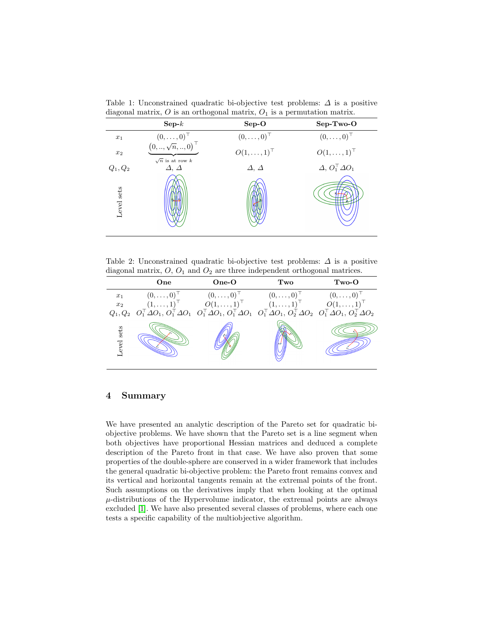<span id="page-10-0"></span>Table 1: Unconstrained quadratic bi-objective test problems:  $\Delta$  is a positive diagonal matrix,  $O$  is an orthogonal matrix,  $O_1$  is a permutation matrix.

|            | $\tilde{}$                                     |                      |                                 |
|------------|------------------------------------------------|----------------------|---------------------------------|
|            | $\mathbf{Sep-}k$                               | $Sep-O$              | $SepTwo-O$                      |
| $x_1$      | $(0,\ldots,0)^\top$<br>$(0,,\sqrt{n},,0)^\top$ | $(0,\ldots,0)^\top$  | $(0,\ldots,0)^\top$             |
| $x_2$      | $\sqrt{n}$ is at row k                         | $O(1,\ldots,1)^\top$ | $O(1,\ldots,1)^\top$            |
| $Q_1, Q_2$ | $\Delta$ , $\Delta$                            | $\Delta, \Delta$     | $\Delta, O_1^{\top} \Delta O_1$ |
| Level sets |                                                |                      |                                 |

<span id="page-10-1"></span>Table 2: Unconstrained quadratic bi-objective test problems:  $\Delta$  is a positive diagonal matrix,  $O$ ,  $O_1$  and  $O_2$  are three independent orthogonal matrices.

|              | One                 | $One-O$              | Two                                                                                                                                                                                                                                                                                                                                              | $Two-O$               |
|--------------|---------------------|----------------------|--------------------------------------------------------------------------------------------------------------------------------------------------------------------------------------------------------------------------------------------------------------------------------------------------------------------------------------------------|-----------------------|
| $x_1$        | $(0,\ldots,0)^\top$ | $(0,\ldots,0)^\perp$ | $(0,\ldots,0)$                                                                                                                                                                                                                                                                                                                                   | $(0,\ldots,0)^{\top}$ |
|              |                     |                      | $\begin{array}{ccccc} x_2 & (1, \ldots, 1)^{\top} & O(1, \ldots, 1)^{\top} & (1, \ldots, 1)^{\top} & O(1, \ldots, 1)^{\top} \\ Q_1, Q_2 & O_1^{\top} \Delta O_1, O_1^{\top} \Delta O_1 & O_1^{\top} \Delta O_1, O_1^{\top} \Delta O_1 & O_1^{\top} \Delta O_1, O_2^{\top} \Delta O_2 & O_1^{\top} \Delta O_1, O_2^{\top} \Delta O_2 \end{array}$ |                       |
| sets<br>evel |                     |                      |                                                                                                                                                                                                                                                                                                                                                  |                       |

# 4 Summary

We have presented an analytic description of the Pareto set for quadratic biobjective problems. We have shown that the Pareto set is a line segment when both objectives have proportional Hessian matrices and deduced a complete description of the Pareto front in that case. We have also proven that some properties of the double-sphere are conserved in a wider framework that includes the general quadratic bi-objective problem: the Pareto front remains convex and its vertical and horizontal tangents remain at the extremal points of the front. Such assumptions on the derivatives imply that when looking at the optimal  $\mu$ -distributions of the Hypervolume indicator, the extremal points are always excluded [\[1\]](#page-11-12). We have also presented several classes of problems, where each one tests a specific capability of the multiobjective algorithm.